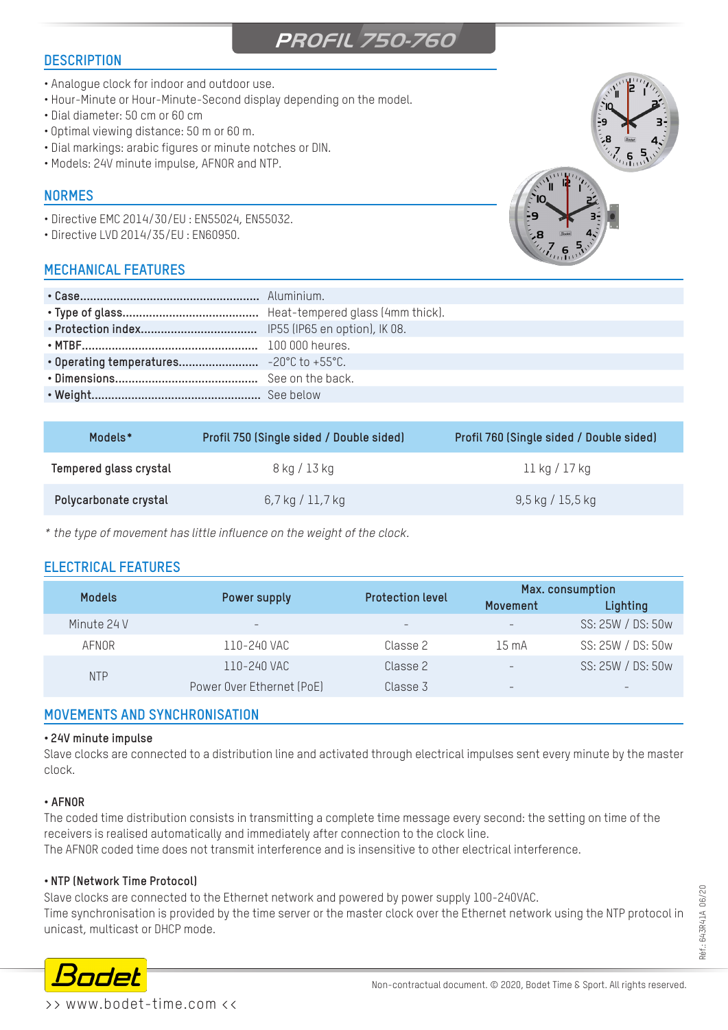# **PROFIL 750-760**

## **DESCRIPTION**

- Analogue clock for indoor and outdoor use.
- Hour-Minute or Hour-Minute-Second display depending on the model.
- Dial diameter: 50 cm or 60 cm
- Optimal viewing distance: 50 m or 60 m.
- Dial markings: arabic figures or minute notches or DIN.
- Models: 24V minute impulse, AFNOR and NTP.

## **NORMES**

- Directive EMC 2014/30/EU : EN55024, EN55032.
- Directive LVD 2014/35/EU : EN60950.

# **MECHANICAL FEATURES**

| <b>CALL</b> | $\mathsf{z}^{\prime\prime\prime\prime}$ |
|-------------|-----------------------------------------|
|             |                                         |
| $3.87$      |                                         |
|             |                                         |
| . .         |                                         |



| Models*                | Profil 750 (Single sided / Double sided) | Profil 760 (Single sided / Double sided) |
|------------------------|------------------------------------------|------------------------------------------|
| Tempered glass crystal | 8 kg / 13 kg                             | 11 kg / 17 kg                            |
| Polycarbonate crystal  | $6,7$ kg $/11,7$ kg                      | $9,5$ kg / 15,5 kg                       |

*\* the type of movement has little influence on the weight of the clock.*

# **ELECTRICAL FEATURES**

| <b>Models</b> | Power supply              | <b>Protection level</b> | Max. consumption         |                   |
|---------------|---------------------------|-------------------------|--------------------------|-------------------|
|               |                           |                         | Movement                 | Lighting          |
| Minute 24 V   | $\overline{\phantom{0}}$  | $\qquad \qquad -$       | $\overline{\phantom{a}}$ | SS: 25W / DS: 50w |
| AFNOR         | 110-240 VAC               | Classe 2                | $15 \text{ mA}$          | SS: 25W / DS: 50w |
| <b>NTP</b>    | 110-240 VAC               | Classe 2                | $\overline{\phantom{m}}$ | SS: 25W / DS: 50w |
|               | Power Over Ethernet (PoE) | Classe 3                | $\overline{\phantom{a}}$ |                   |

### **MOVEMENTS AND SYNCHRONISATION**

#### **• 24V minute impulse**

Slave clocks are connected to a distribution line and activated through electrical impulses sent every minute by the master clock.

#### **• AFNOR**

The coded time distribution consists in transmitting a complete time message every second: the setting on time of the receivers is realised automatically and immediately after connection to the clock line. The AFNOR coded time does not transmit interference and is insensitive to other electrical interference.

#### **• NTP (Network Time Protocol)**

Slave clocks are connected to the Ethernet network and powered by power supply 100-240VAC. Time synchronisation is provided by the time server or the master clock over the Ethernet network using the NTP protocol in unicast, multicast or DHCP mode.



>> www.bodet-time.com <<